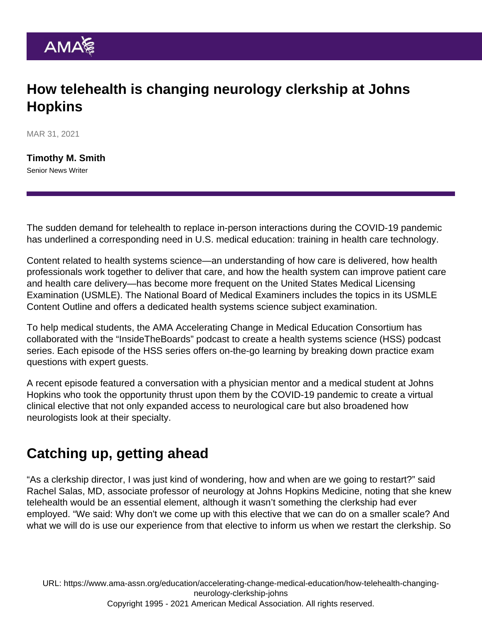## How telehealth is changing neurology clerkship at Johns **Hopkins**

MAR 31, 2021

[Timothy M. Smith](https://www.ama-assn.org/news-leadership-viewpoints/authors-news-leadership-viewpoints/timothy-m-smith) Senior News Writer

The sudden demand for telehealth to replace in-person interactions during the COVID-19 pandemic has underlined a corresponding need in U.S. medical education: training in health care technology.

Content related to [health systems science—](https://www.ama-assn.org/education/accelerating-change-medical-education/teaching-health-systems-science)an understanding of how care is delivered, how health professionals work together to deliver that care, and how the health system can improve patient care and health care delivery—has become more frequent on the United States Medical Licensing Examination (USMLE). The National Board of Medical Examiners includes the topics in its USMLE Content Outline and offers [a dedicated health systems science subject examination](https://www.nbme.org/news/new-health-systems-science-hss-examination-now-available-all-medical-schools).

To help medical students, the [AMA Accelerating Change in Medical Education Consortium](https://www.ama-assn.org/education/accelerating-change-medical-education) has collaborated with the ["InsideTheBoards](https://insidetheboards.com/Health-Systems-Science/)" podcast to create a health systems science (HSS) podcast series. Each episode of the HSS series offers on-the-go learning by breaking down practice exam questions with expert guests.

A recent episode featured a conversation with a physician mentor and a medical student at Johns Hopkins who took the opportunity thrust upon them by the COVID-19 pandemic to create a virtual clinical elective that not only expanded access to neurological care but also broadened how neurologists look at their specialty.

## Catching up, getting ahead

"As a clerkship director, I was just kind of wondering, how and when are we going to restart?" said Rachel Salas, MD, associate professor of neurology at Johns Hopkins Medicine, noting that she knew telehealth would be an essential element, although it wasn't something the clerkship had ever employed. "We said: Why don't we come up with this elective that we can do on a smaller scale? And what we will do is use our experience from that elective to inform us when we restart the clerkship. So